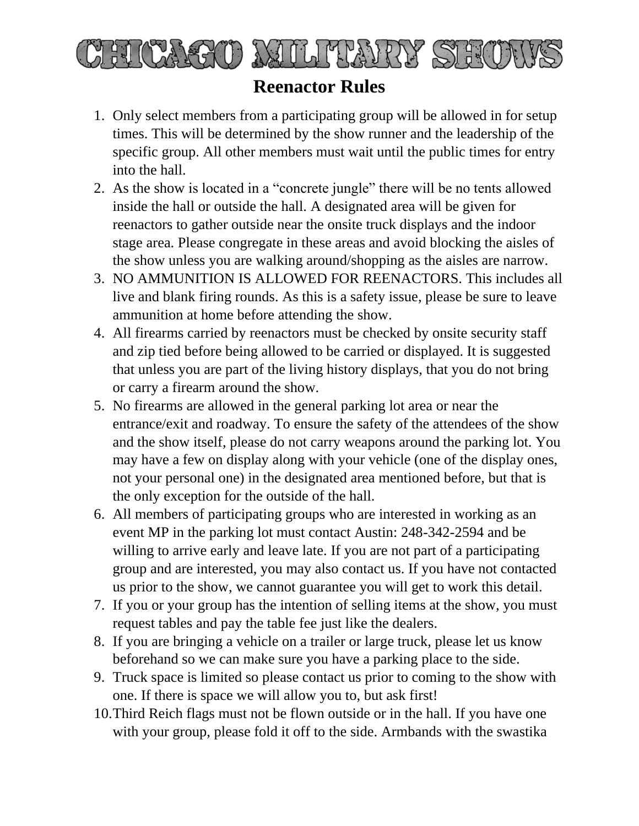

## **Reenactor Rules**

- 1. Only select members from a participating group will be allowed in for setup times. This will be determined by the show runner and the leadership of the specific group. All other members must wait until the public times for entry into the hall.
- 2. As the show is located in a "concrete jungle" there will be no tents allowed inside the hall or outside the hall. A designated area will be given for reenactors to gather outside near the onsite truck displays and the indoor stage area. Please congregate in these areas and avoid blocking the aisles of the show unless you are walking around/shopping as the aisles are narrow.
- 3. NO AMMUNITION IS ALLOWED FOR REENACTORS. This includes all live and blank firing rounds. As this is a safety issue, please be sure to leave ammunition at home before attending the show.
- 4. All firearms carried by reenactors must be checked by onsite security staff and zip tied before being allowed to be carried or displayed. It is suggested that unless you are part of the living history displays, that you do not bring or carry a firearm around the show.
- 5. No firearms are allowed in the general parking lot area or near the entrance/exit and roadway. To ensure the safety of the attendees of the show and the show itself, please do not carry weapons around the parking lot. You may have a few on display along with your vehicle (one of the display ones, not your personal one) in the designated area mentioned before, but that is the only exception for the outside of the hall.
- 6. All members of participating groups who are interested in working as an event MP in the parking lot must contact Austin: 248-342-2594 and be willing to arrive early and leave late. If you are not part of a participating group and are interested, you may also contact us. If you have not contacted us prior to the show, we cannot guarantee you will get to work this detail.
- 7. If you or your group has the intention of selling items at the show, you must request tables and pay the table fee just like the dealers.
- 8. If you are bringing a vehicle on a trailer or large truck, please let us know beforehand so we can make sure you have a parking place to the side.
- 9. Truck space is limited so please contact us prior to coming to the show with one. If there is space we will allow you to, but ask first!
- 10.Third Reich flags must not be flown outside or in the hall. If you have one with your group, please fold it off to the side. Armbands with the swastika